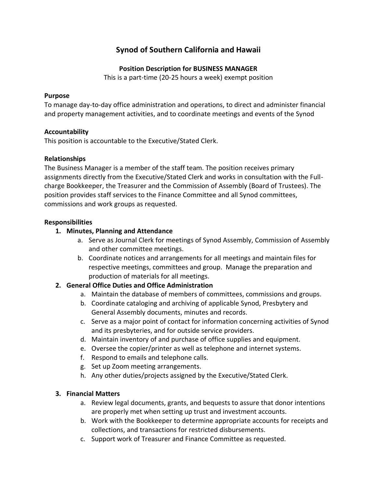# **Synod of Southern California and Hawaii**

## **Position Description for BUSINESS MANAGER**

This is a part-time (20-25 hours a week) exempt position

#### **Purpose**

To manage day-to-day office administration and operations, to direct and administer financial and property management activities, and to coordinate meetings and events of the Synod

## **Accountability**

This position is accountable to the Executive/Stated Clerk.

## **Relationships**

The Business Manager is a member of the staff team. The position receives primary assignments directly from the Executive/Stated Clerk and works in consultation with the Fullcharge Bookkeeper, the Treasurer and the Commission of Assembly (Board of Trustees). The position provides staff services to the Finance Committee and all Synod committees, commissions and work groups as requested.

## **Responsibilities**

## **1. Minutes, Planning and Attendance**

- a. Serve as Journal Clerk for meetings of Synod Assembly, Commission of Assembly and other committee meetings.
- b. Coordinate notices and arrangements for all meetings and maintain files for respective meetings, committees and group. Manage the preparation and production of materials for all meetings.

# **2. General Office Duties and Office Administration**

- a. Maintain the database of members of committees, commissions and groups.
- b. Coordinate cataloging and archiving of applicable Synod, Presbytery and General Assembly documents, minutes and records.
- c. Serve as a major point of contact for information concerning activities of Synod and its presbyteries, and for outside service providers.
- d. Maintain inventory of and purchase of office supplies and equipment.
- e. Oversee the copier/printer as well as telephone and internet systems.
- f. Respond to emails and telephone calls.
- g. Set up Zoom meeting arrangements.
- h. Any other duties/projects assigned by the Executive/Stated Clerk.

# **3. Financial Matters**

- a. Review legal documents, grants, and bequests to assure that donor intentions are properly met when setting up trust and investment accounts.
- b. Work with the Bookkeeper to determine appropriate accounts for receipts and collections, and transactions for restricted disbursements.
- c. Support work of Treasurer and Finance Committee as requested.